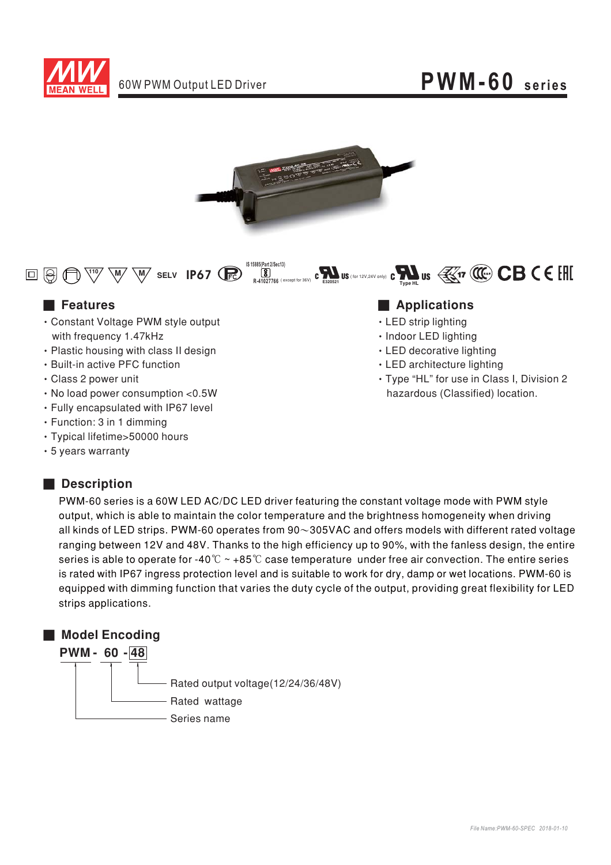



**0 19 11 W W W** SELV **IP67 R E320521 S** (for 12V,24V only) **C**<br> **E320521** Type HL **IS 15885(Part 2/Sec13) R-41027766** (except for 36V)

- Constant Voltage PWM style output with frequency 1.47kHz
- Plastic housing with class II design
- Built-in active PFC function
- Class 2 power unit
- No load power consumption <0.5W
- Fully encapsulated with IP67 level
- $\cdot$  Function: 3 in 1 dimming
- Typical lifetime>50000 hours
- 5 years warranty

### ■ **Description**

#### ■ Features **■ Particular Execution ■ Particular Execution** and **■ Particular Execution** and **■ Particular Execution** and **Particular Execution** and **Particular Execution** and **Particular Execution** and **Particular Execu**

- LED strip lighting
- · Indoor LED lighting
- LED decorative lighting
- LED architecture lighting
- Type "HL" for use in Class I, Division 2 hazardous (Classified) location.

PWM-60 series is a 60W LED AC/DC LED driver featuring the constant voltage mode with PWM style output, which is able to maintain the color temperature and the brightness homogeneity when driving all kinds of LED strips. PWM-60 operates from 90 $\sim$ 305VAC and offers models with different rated voltage ranging between 12V and 48V. Thanks to the high efficiency up to 90%, with the fanless design, the entire series is able to operate for -40  $^\circ\!{\rm C}\sim$  +85  $^\circ\!{\rm C}$  case temperature <code>under</code> free air convection. The entire series is rated with IP67 ingress protection level and is suitable to work for dry, damp or wet locations. PWM-60 is equipped with dimming function that varies the duty cycle of the output, providing great flexibility for LED strips applications.

#### ■ **Model Encoding**

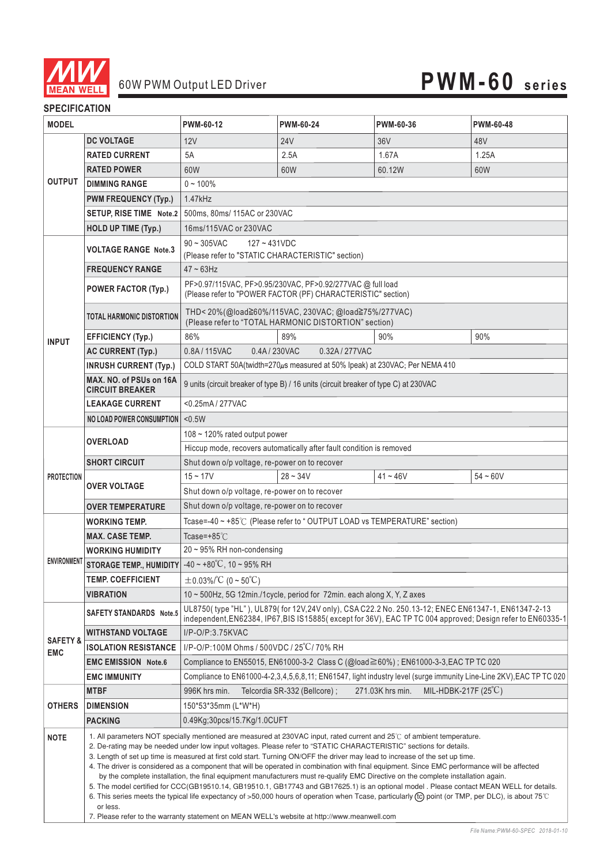

#### **SPECIFICATION**

| <b>MODEL</b>                      |                                                                                                                                                                                                                                                                                                                                                                                                                                                                                                                                                                                                                                                                                                                                                                                                                                                                                                                                                                                                                                                                                  | PWM-60-12                                                                                                                                                                    | PWM-60-24                    | PWM-60-36                                | PWM-60-48  |
|-----------------------------------|----------------------------------------------------------------------------------------------------------------------------------------------------------------------------------------------------------------------------------------------------------------------------------------------------------------------------------------------------------------------------------------------------------------------------------------------------------------------------------------------------------------------------------------------------------------------------------------------------------------------------------------------------------------------------------------------------------------------------------------------------------------------------------------------------------------------------------------------------------------------------------------------------------------------------------------------------------------------------------------------------------------------------------------------------------------------------------|------------------------------------------------------------------------------------------------------------------------------------------------------------------------------|------------------------------|------------------------------------------|------------|
| <b>OUTPUT</b>                     | <b>DC VOLTAGE</b>                                                                                                                                                                                                                                                                                                                                                                                                                                                                                                                                                                                                                                                                                                                                                                                                                                                                                                                                                                                                                                                                | 12V                                                                                                                                                                          | <b>24V</b>                   | 36V                                      | 48V        |
|                                   | <b>RATED CURRENT</b>                                                                                                                                                                                                                                                                                                                                                                                                                                                                                                                                                                                                                                                                                                                                                                                                                                                                                                                                                                                                                                                             | 5A                                                                                                                                                                           | 2.5A                         | 1.67A                                    | 1.25A      |
|                                   | <b>RATED POWER</b>                                                                                                                                                                                                                                                                                                                                                                                                                                                                                                                                                                                                                                                                                                                                                                                                                                                                                                                                                                                                                                                               | 60W                                                                                                                                                                          | 60W                          | 60.12W                                   | 60W        |
|                                   | <b>DIMMING RANGE</b>                                                                                                                                                                                                                                                                                                                                                                                                                                                                                                                                                                                                                                                                                                                                                                                                                                                                                                                                                                                                                                                             | $0 - 100%$                                                                                                                                                                   |                              |                                          |            |
|                                   | <b>PWM FREQUENCY (Typ.)</b>                                                                                                                                                                                                                                                                                                                                                                                                                                                                                                                                                                                                                                                                                                                                                                                                                                                                                                                                                                                                                                                      | 1.47kHz                                                                                                                                                                      |                              |                                          |            |
|                                   | SETUP, RISE TIME Note.2                                                                                                                                                                                                                                                                                                                                                                                                                                                                                                                                                                                                                                                                                                                                                                                                                                                                                                                                                                                                                                                          | 500ms, 80ms/ 115AC or 230VAC                                                                                                                                                 |                              |                                          |            |
|                                   | HOLD UP TIME (Typ.)                                                                                                                                                                                                                                                                                                                                                                                                                                                                                                                                                                                                                                                                                                                                                                                                                                                                                                                                                                                                                                                              | 16ms/115VAC or 230VAC                                                                                                                                                        |                              |                                          |            |
| <b>INPUT</b>                      | <b>VOLTAGE RANGE Note.3</b>                                                                                                                                                                                                                                                                                                                                                                                                                                                                                                                                                                                                                                                                                                                                                                                                                                                                                                                                                                                                                                                      | $90 - 305$ VAC<br>$127 - 431$ VDC                                                                                                                                            |                              |                                          |            |
|                                   |                                                                                                                                                                                                                                                                                                                                                                                                                                                                                                                                                                                                                                                                                                                                                                                                                                                                                                                                                                                                                                                                                  | (Please refer to "STATIC CHARACTERISTIC" section)                                                                                                                            |                              |                                          |            |
|                                   | <b>FREQUENCY RANGE</b>                                                                                                                                                                                                                                                                                                                                                                                                                                                                                                                                                                                                                                                                                                                                                                                                                                                                                                                                                                                                                                                           | $47 \sim 63$ Hz                                                                                                                                                              |                              |                                          |            |
|                                   | <b>POWER FACTOR (Typ.)</b>                                                                                                                                                                                                                                                                                                                                                                                                                                                                                                                                                                                                                                                                                                                                                                                                                                                                                                                                                                                                                                                       | PF>0.97/115VAC, PF>0.95/230VAC, PF>0.92/277VAC @ full load<br>(Please refer to "POWER FACTOR (PF) CHARACTERISTIC" section)                                                   |                              |                                          |            |
|                                   | <b>TOTAL HARMONIC DISTORTION</b>                                                                                                                                                                                                                                                                                                                                                                                                                                                                                                                                                                                                                                                                                                                                                                                                                                                                                                                                                                                                                                                 | THD<20%(@load≧60%/115VAC, 230VAC; @load≧75%/277VAC)<br>(Please refer to "TOTAL HARMONIC DISTORTION" section)                                                                 |                              |                                          |            |
|                                   | <b>EFFICIENCY (Typ.)</b>                                                                                                                                                                                                                                                                                                                                                                                                                                                                                                                                                                                                                                                                                                                                                                                                                                                                                                                                                                                                                                                         | 86%                                                                                                                                                                          | 89%                          | 90%                                      | 90%        |
|                                   | <b>AC CURRENT (Typ.)</b>                                                                                                                                                                                                                                                                                                                                                                                                                                                                                                                                                                                                                                                                                                                                                                                                                                                                                                                                                                                                                                                         | 0.4A/230VAC<br>0.8A/115VAC<br>0.32A/277VAC                                                                                                                                   |                              |                                          |            |
|                                   | <b>INRUSH CURRENT (Typ.)</b>                                                                                                                                                                                                                                                                                                                                                                                                                                                                                                                                                                                                                                                                                                                                                                                                                                                                                                                                                                                                                                                     | COLD START 50A(twidth=270µs measured at 50% Ipeak) at 230VAC; Per NEMA 410                                                                                                   |                              |                                          |            |
|                                   | MAX. NO. of PSUs on 16A<br><b>CIRCUIT BREAKER</b>                                                                                                                                                                                                                                                                                                                                                                                                                                                                                                                                                                                                                                                                                                                                                                                                                                                                                                                                                                                                                                | 9 units (circuit breaker of type B) / 16 units (circuit breaker of type C) at 230VAC                                                                                         |                              |                                          |            |
|                                   | <b>LEAKAGE CURRENT</b>                                                                                                                                                                                                                                                                                                                                                                                                                                                                                                                                                                                                                                                                                                                                                                                                                                                                                                                                                                                                                                                           | <0.25mA / 277VAC                                                                                                                                                             |                              |                                          |            |
|                                   | <b>NO LOAD POWER CONSUMPTION</b>                                                                                                                                                                                                                                                                                                                                                                                                                                                                                                                                                                                                                                                                                                                                                                                                                                                                                                                                                                                                                                                 | < 0.5W                                                                                                                                                                       |                              |                                          |            |
| <b>PROTECTION</b>                 | <b>OVERLOAD</b>                                                                                                                                                                                                                                                                                                                                                                                                                                                                                                                                                                                                                                                                                                                                                                                                                                                                                                                                                                                                                                                                  | 108 ~ 120% rated output power                                                                                                                                                |                              |                                          |            |
|                                   |                                                                                                                                                                                                                                                                                                                                                                                                                                                                                                                                                                                                                                                                                                                                                                                                                                                                                                                                                                                                                                                                                  | Hiccup mode, recovers automatically after fault condition is removed                                                                                                         |                              |                                          |            |
|                                   | <b>SHORT CIRCUIT</b>                                                                                                                                                                                                                                                                                                                                                                                                                                                                                                                                                                                                                                                                                                                                                                                                                                                                                                                                                                                                                                                             | Shut down o/p voltage, re-power on to recover                                                                                                                                |                              |                                          |            |
|                                   | <b>OVER VOLTAGE</b>                                                                                                                                                                                                                                                                                                                                                                                                                                                                                                                                                                                                                                                                                                                                                                                                                                                                                                                                                                                                                                                              | $15 - 17V$                                                                                                                                                                   | $28 - 34V$                   | $41 - 46V$                               | $54 - 60V$ |
|                                   |                                                                                                                                                                                                                                                                                                                                                                                                                                                                                                                                                                                                                                                                                                                                                                                                                                                                                                                                                                                                                                                                                  | Shut down o/p voltage, re-power on to recover                                                                                                                                |                              |                                          |            |
|                                   | <b>OVER TEMPERATURE</b>                                                                                                                                                                                                                                                                                                                                                                                                                                                                                                                                                                                                                                                                                                                                                                                                                                                                                                                                                                                                                                                          | Shut down o/p voltage, re-power on to recover                                                                                                                                |                              |                                          |            |
| <b>ENVIRONMENT</b>                | <b>WORKING TEMP.</b>                                                                                                                                                                                                                                                                                                                                                                                                                                                                                                                                                                                                                                                                                                                                                                                                                                                                                                                                                                                                                                                             | Tcase=-40 ~ +85°C (Please refer to "OUTPUT LOAD vs TEMPERATURE" section)                                                                                                     |                              |                                          |            |
|                                   | <b>MAX. CASE TEMP.</b>                                                                                                                                                                                                                                                                                                                                                                                                                                                                                                                                                                                                                                                                                                                                                                                                                                                                                                                                                                                                                                                           | Tcase=+85 $°C$                                                                                                                                                               |                              |                                          |            |
|                                   | <b>WORKING HUMIDITY</b>                                                                                                                                                                                                                                                                                                                                                                                                                                                                                                                                                                                                                                                                                                                                                                                                                                                                                                                                                                                                                                                          | $20 \sim 95\%$ RH non-condensing                                                                                                                                             |                              |                                          |            |
|                                   | <b>STORAGE TEMP., HUMIDITY</b>                                                                                                                                                                                                                                                                                                                                                                                                                                                                                                                                                                                                                                                                                                                                                                                                                                                                                                                                                                                                                                                   | $-40 \sim +80^{\circ}$ C, 10 ~ 95% RH                                                                                                                                        |                              |                                          |            |
|                                   | <b>TEMP. COEFFICIENT</b>                                                                                                                                                                                                                                                                                                                                                                                                                                                                                                                                                                                                                                                                                                                                                                                                                                                                                                                                                                                                                                                         | $\pm$ 0.03%/°C (0 ~ 50°C)                                                                                                                                                    |                              |                                          |            |
|                                   | VIBRATION                                                                                                                                                                                                                                                                                                                                                                                                                                                                                                                                                                                                                                                                                                                                                                                                                                                                                                                                                                                                                                                                        | 10 ~ 500Hz, 5G 12min./1cycle, period for 72min. each along X, Y, Z axes<br>UL8750(type "HL"), UL879(for 12V,24V only), CSA C22.2 No. 250.13-12; ENEC EN61347-1, EN61347-2-13 |                              |                                          |            |
| <b>SAFETY &amp;</b><br><b>EMC</b> | <b>SAFETY STANDARDS</b> Note.5                                                                                                                                                                                                                                                                                                                                                                                                                                                                                                                                                                                                                                                                                                                                                                                                                                                                                                                                                                                                                                                   | independent, EN62384, IP67, BIS IS15885(except for 36V), EAC TP TC 004 approved; Design refer to EN60335-1                                                                   |                              |                                          |            |
|                                   | <b>WITHSTAND VOLTAGE</b>                                                                                                                                                                                                                                                                                                                                                                                                                                                                                                                                                                                                                                                                                                                                                                                                                                                                                                                                                                                                                                                         | I/P-O/P:3.75KVAC                                                                                                                                                             |                              |                                          |            |
|                                   | <b>ISOLATION RESISTANCE</b>                                                                                                                                                                                                                                                                                                                                                                                                                                                                                                                                                                                                                                                                                                                                                                                                                                                                                                                                                                                                                                                      | I/P-O/P:100M Ohms / 500VDC / 25°C/70% RH                                                                                                                                     |                              |                                          |            |
|                                   | <b>EMC EMISSION Note.6</b>                                                                                                                                                                                                                                                                                                                                                                                                                                                                                                                                                                                                                                                                                                                                                                                                                                                                                                                                                                                                                                                       | Compliance to EN55015, EN61000-3-2 Class C (@load≧60%); EN61000-3-3, EAC TP TC 020                                                                                           |                              |                                          |            |
|                                   | <b>EMC IMMUNITY</b>                                                                                                                                                                                                                                                                                                                                                                                                                                                                                                                                                                                                                                                                                                                                                                                                                                                                                                                                                                                                                                                              | Compliance to EN61000-4-2,3,4,5,6,8,11; EN61547, light industry level (surge immunity Line-Line 2KV), EAC TP TC 020                                                          |                              |                                          |            |
| <b>OTHERS</b>                     | <b>MTBF</b>                                                                                                                                                                                                                                                                                                                                                                                                                                                                                                                                                                                                                                                                                                                                                                                                                                                                                                                                                                                                                                                                      | 996K hrs min.                                                                                                                                                                | Telcordia SR-332 (Bellcore); | MIL-HDBK-217F (25°C)<br>271.03K hrs min. |            |
|                                   | <b>DIMENSION</b>                                                                                                                                                                                                                                                                                                                                                                                                                                                                                                                                                                                                                                                                                                                                                                                                                                                                                                                                                                                                                                                                 | 150*53*35mm (L*W*H)                                                                                                                                                          |                              |                                          |            |
|                                   | <b>PACKING</b>                                                                                                                                                                                                                                                                                                                                                                                                                                                                                                                                                                                                                                                                                                                                                                                                                                                                                                                                                                                                                                                                   | 0.49Kg;30pcs/15.7Kg/1.0CUFT                                                                                                                                                  |                              |                                          |            |
| <b>NOTE</b>                       | 1. All parameters NOT specially mentioned are measured at 230VAC input, rated current and 25°C of ambient temperature.<br>2. De-rating may be needed under low input voltages. Please refer to "STATIC CHARACTERISTIC" sections for details.<br>3. Length of set up time is measured at first cold start. Turning ON/OFF the driver may lead to increase of the set up time.<br>4. The driver is considered as a component that will be operated in combination with final equipment. Since EMC performance will be affected<br>by the complete installation, the final equipment manufacturers must re-qualify EMC Directive on the complete installation again.<br>5. The model certified for CCC(GB19510.14, GB19510.1, GB17743 and GB17625.1) is an optional model . Please contact MEAN WELL for details.<br>6. This series meets the typical life expectancy of >50,000 hours of operation when Tcase, particularly (tc) point (or TMP, per DLC), is about 75°C<br>or less.<br>7. Please refer to the warranty statement on MEAN WELL's website at http://www.meanwell.com |                                                                                                                                                                              |                              |                                          |            |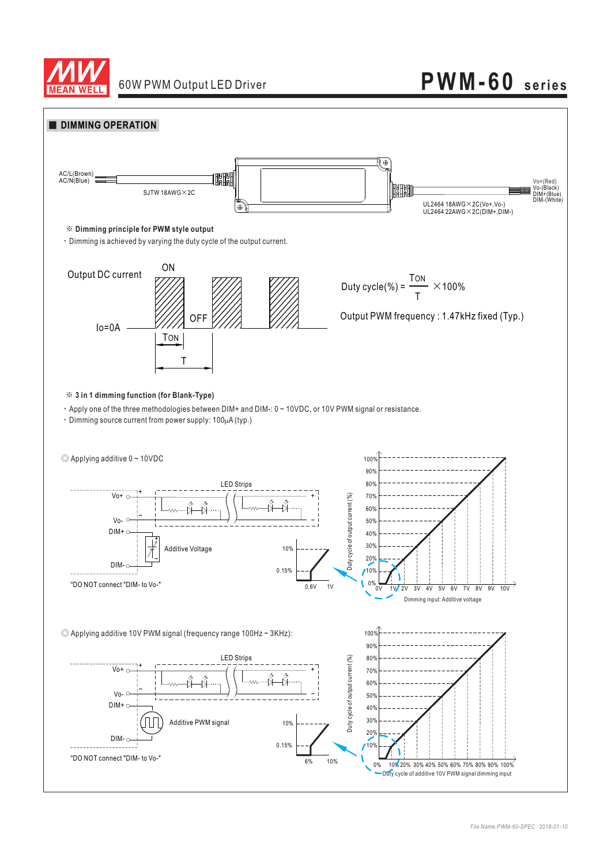

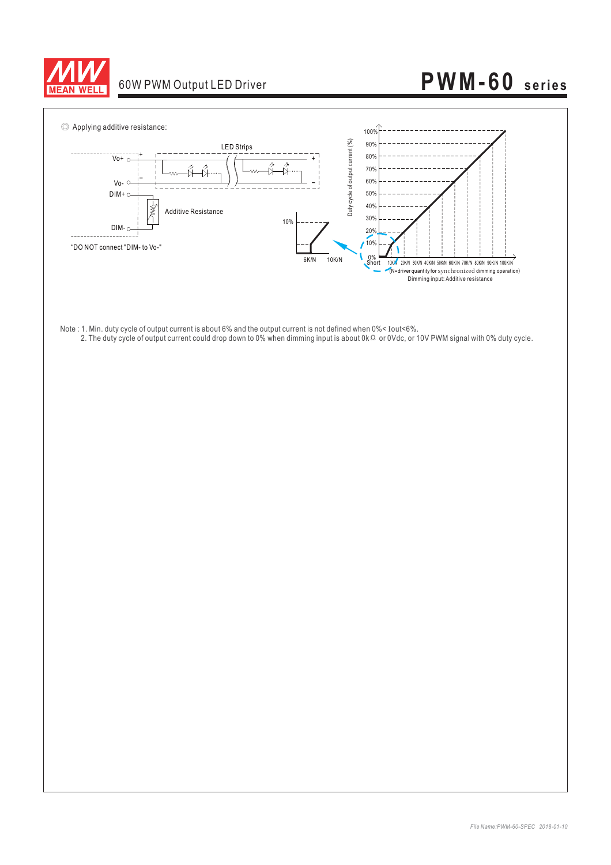

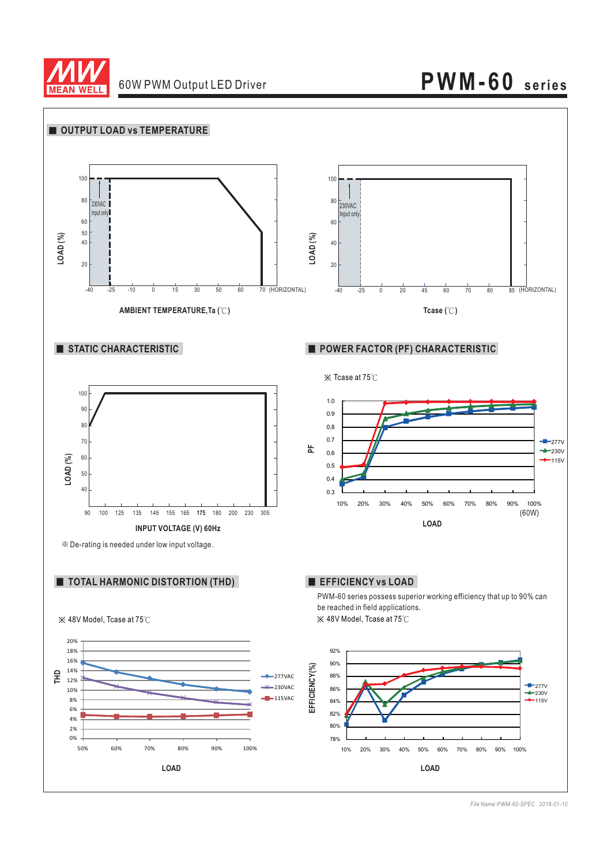

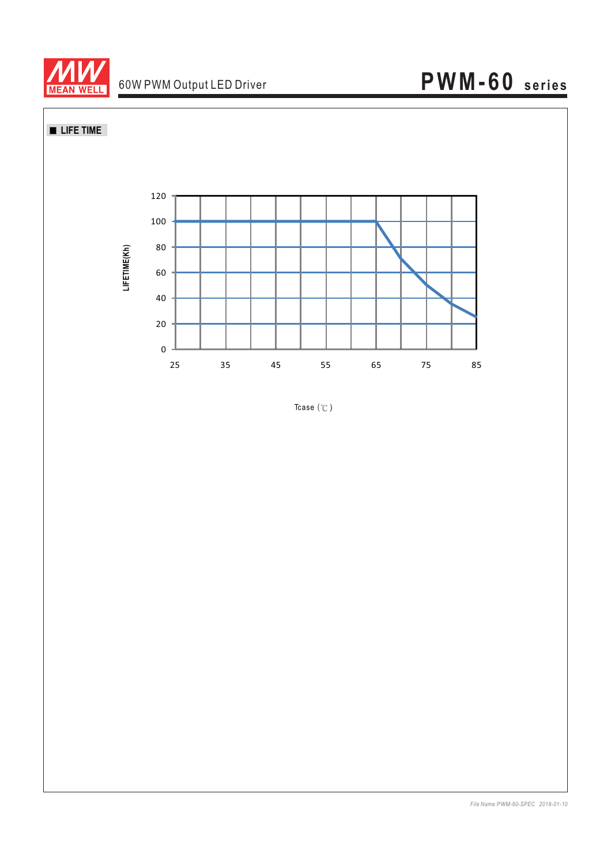

**LIFE TIME** 



Tcase  $(°C)$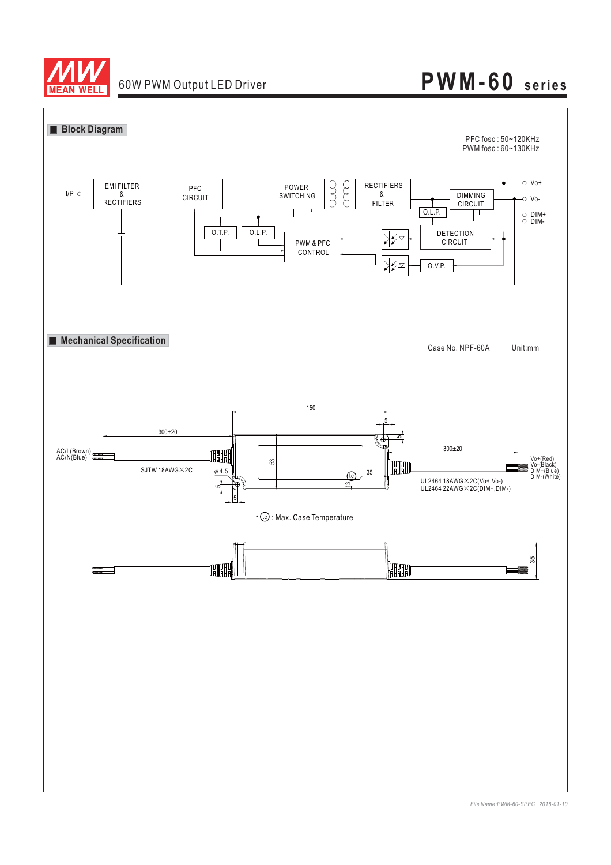